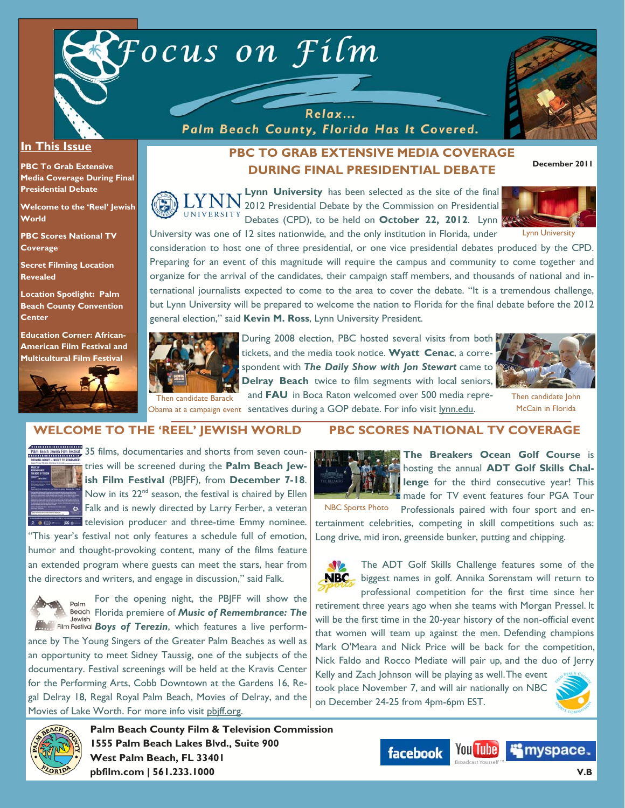



### **In This Issue**

**PBC To Grab Extensive Media Coverage During Final Presidential Debate** 

**Welcome to the 'Reel' Jewish World** 

**PBC Scores National TV Coverage** 

**Secret Filming Location Revealed** 

**Location Spotlight: Palm Beach County Convention Center** 

**Education Corner: African-American Film Festival and Multicultural Film Festival**



# **PBC TO GRAB EXTENSIVE MEDIA COVERAGE DURING FINAL PRESIDENTIAL DEBATE**

**Lynn University** has been selected as the site of the final 2012 Presidential Debate by the Commission on Presidential UNIVERSITY Debates (CPD), to be held on **October 22, 2012**. Lynn University was one of 12 sites nationwide, and the only institution in Florida, under

Relax... Palm Beach County, Florida Has It Covered.



**December 2011** 

Lynn University

consideration to host one of three presidential, or one vice presidential debates produced by the CPD. Preparing for an event of this magnitude will require the campus and community to come together and organize for the arrival of the candidates, their campaign staff members, and thousands of national and international journalists expected to come to the area to cover the debate. "It is a tremendous challenge, but Lynn University will be prepared to welcome the nation to Florida for the final debate before the 2012 general election," said **Kevin M. Ross**, Lynn University President.



During 2008 election, PBC hosted several visits from both tickets, and the media took notice. **Wyatt Cenac**, a correspondent with *The Daily Show with Jon Stewart* came to **Delray Beach** twice to film segments with local seniors,

and **FAU** in Boca Raton welcomed over 500 media repre-



Then candidate John McCain in Florida

### Then candidate Barack

Obama at a campaign event sentatives during a GOP debate. For info visit lynn.edu.

### **WELCOME TO THE 'REEL' JEWISH WORLD**



FILM BRASH JUNION TO THE STATE AND THE STATE OF THE STATE OF THE STATE OF THE STATE OF THE STATE OF THE STATE OF THE STATE OF THE STATE OF THE STATE OF THE STATE OF THE STATE OF THE STATE OF THE STATE OF THE STATE OF THE S tries will be screened during the **Palm Beach Jewish Film Festival** (PBJFF), from **December 7-18**. Now in its 22<sup>nd</sup> season, the festival is chaired by Ellen  $\bullet$  Falk and is newly directed by Larry Ferber, a veteran television producer and three-time Emmy nominee.

"This year's festival not only features a schedule full of emotion, humor and thought-provoking content, many of the films feature an extended program where guests can meet the stars, hear from the directors and writers, and engage in discussion," said Falk.



For the opening night, the PBJFF will show the Palm Florida premiere of *Music of Remembrance: The*  **Boys of Terezin**, which features a live perform-

ance by The Young Singers of the Greater Palm Beaches as well as an opportunity to meet Sidney Taussig, one of the subjects of the documentary. Festival screenings will be held at the Kravis Center for the Performing Arts, Cobb Downtown at the Gardens 16, Regal Delray 18, Regal Royal Palm Beach, Movies of Delray, and the Movies of Lake Worth. For more info visit pbiff.org.

**pbfilm.com | 561.233.1000** 



# **PBC SCORES NATIONAL TV COVERAGE**



**The Breakers Ocean Golf Course** is hosting the annual **ADT Golf Skills Challenge** for the third consecutive year! This made for TV event features four PGA Tour

Professionals paired with four sport and entertainment celebrities, competing in skill competitions such as: Long drive, mid iron, greenside bunker, putting and chipping. NBC Sports Photo

**SV2** The ADT Golf Skills Challenge features some of the **NBC** biggest names in golf. Annika Sorenstam will return to professional competition for the first time since her retirement three years ago when she teams with Morgan Pressel. It will be the first time in the 20-year history of the non-official event that women will team up against the men. Defending champions Mark O'Meara and Nick Price will be back for the competition, Nick Faldo and Rocco Mediate will pair up, and the duo of Jerry Kelly and Zach Johnson will be playing as well. The event took place November 7, and will air nationally on NBC on December 24-25 from 4pm-6pm EST.

**You Tube** 

**facebook** 



**V.B**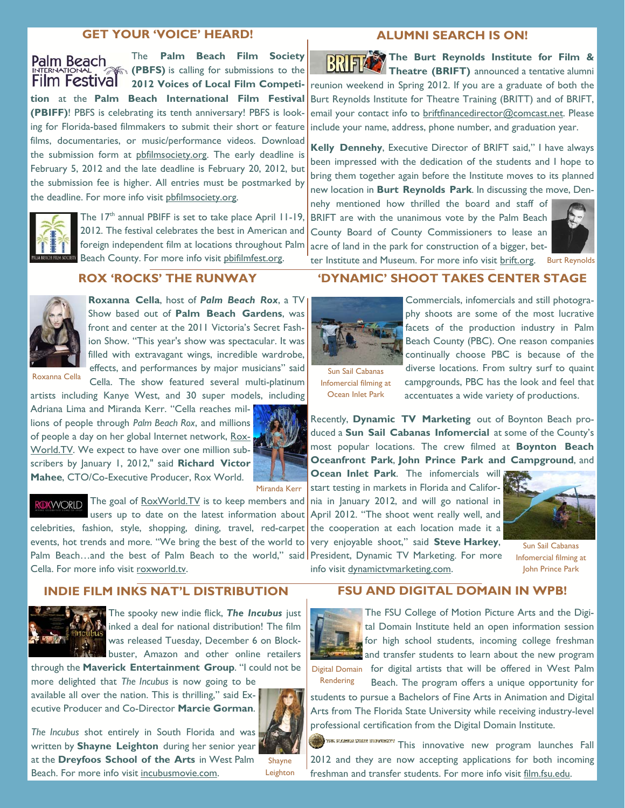### **GET YOUR 'VOICE' HEARD!**

The **Palm Beach Film Society**  Palm Beach **(PBFS)** is calling for submissions to the **Film Festival 2012 Voices of Local Film Competition** at the **Palm Beach International Film Festival (PBIFF)**! PBFS is celebrating its tenth anniversary! PBFS is looking for Florida-based filmmakers to submit their short or feature films, documentaries, or music/performance videos. Download the submission form at pbfilmsociety.org. The early deadline is February 5, 2012 and the late deadline is February 20, 2012, but the submission fee is higher. All entries must be postmarked by the deadline. For more info visit pbfilmsociety.org.



The 17<sup>th</sup> annual PBIFF is set to take place April 11-19, 2012. The festival celebrates the best in American and foreign independent film at locations throughout Palm Beach County. For more info visit pbifilmfest.org.

### **ROX 'ROCKS' THE RUNWAY**



**Roxanna Cella**, host of *Palm Beach Rox*, a TV Show based out of **Palm Beach Gardens**, was front and center at the 2011 Victoria's Secret Fashion Show. "This year's show was spectacular. It was filled with extravagant wings, incredible wardrobe, effects, and performances by major musicians" said Cella. The show featured several multi-platinum

Roxanna Cella

artists including Kanye West, and 30 super models, including Adriana Lima and Miranda Kerr. "Cella reaches millions of people through *Palm Beach Rox*, and millions of people a day on her global Internet network, Rox-World.TV. We expect to have over one million subscribers by January 1, 2012," said **Richard Victor Mahee**, CTO/Co-Executive Producer, Rox World.



Miranda Kerr

**DXWORID** The goal of RoxWorld.TV is to keep members and

users up to date on the latest information about April 2012. "The shoot went really well, and celebrities, fashion, style, shopping, dining, travel, red-carpet events, hot trends and more. "We bring the best of the world to Palm Beach...and the best of Palm Beach to the world," said President, Dynamic TV Marketing. For more Cella. For more info visit roxworld.tv.

### **INDIE FILM INKS NAT'L DISTRIBUTION**



The spooky new indie flick, *The Incubus* just inked a deal for national distribution! The film was released Tuesday, December 6 on Blockbuster, Amazon and other online retailers

through the **Maverick Entertainment Group**. "I could not be more delighted that *The Incubus* is now going to be

available all over the nation. This is thrilling," said Executive Producer and Co-Director **Marcie Gorman**.



*The Incubus* shot entirely in South Florida and was written by **Shayne Leighton** during her senior year at the **Dreyfoos School of the Arts** in West Palm Beach. For more info visit incubusmovie.com.

Shayne Leighton

#### **ALUMNI SEARCH IS ON!**

The Burt Reynolds Institute for Film & **Theatre (BRIFT)** announced a tentative alumni reunion weekend in Spring 2012. If you are a graduate of both the Burt Reynolds Institute for Theatre Training (BRITT) and of BRIFT, email your contact info to **briftfinancedirector@comcast.net**. Please include your name, address, phone number, and graduation year.

**Kelly Dennehy**, Executive Director of BRIFT said," I have always been impressed with the dedication of the students and I hope to bring them together again before the Institute moves to its planned new location in **Burt Reynolds Park**. In discussing the move, Den-

nehy mentioned how thrilled the board and staff of BRIFT are with the unanimous vote by the Palm Beach County Board of County Commissioners to lease an acre of land in the park for construction of a bigger, bet-



ter Institute and Museum. For more info visit brift.org. Burt Reynolds

# **'DYNAMIC' SHOOT TAKES CENTER STAGE**



Sun Sail Cabanas Infomercial filming at Ocean Inlet Park

phy shoots are some of the most lucrative facets of the production industry in Palm Beach County (PBC). One reason companies continually choose PBC is because of the diverse locations. From sultry surf to quaint campgrounds, PBC has the look and feel that accentuates a wide variety of productions.

Recently, **Dynamic TV Marketing** out of Boynton Beach produced a **Sun Sail Cabanas Infomercial** at some of the County's most popular locations. The crew filmed at **Boynton Beach Oceanfront Park**, **John Prince Park and Campground**, and

**Ocean Inlet Park**. The infomercials will start testing in markets in Florida and California in January 2012, and will go national in the cooperation at each location made it a very enjoyable shoot," said **Steve Harkey**,



Sun Sail Cabanas Infomercial filming at John Prince Park

info visit dynamictvmarketing.com.

### **FSU AND DIGITAL DOMAIN IN WPB!**



The FSU College of Motion Picture Arts and the Digital Domain Institute held an open information session for high school students, incoming college freshman and transfer students to learn about the new program

Digital Domain for digital artists that will be offered in West Palm Rendering

Beach. The program offers a unique opportunity for students to pursue a Bachelors of Fine Arts in Animation and Digital Arts from The Florida State University while receiving industry-level professional certification from the Digital Domain Institute.

This state was start unavailant This innovative new program launches Fall 2012 and they are now accepting applications for both incoming freshman and transfer students. For more info visit film.fsu.edu.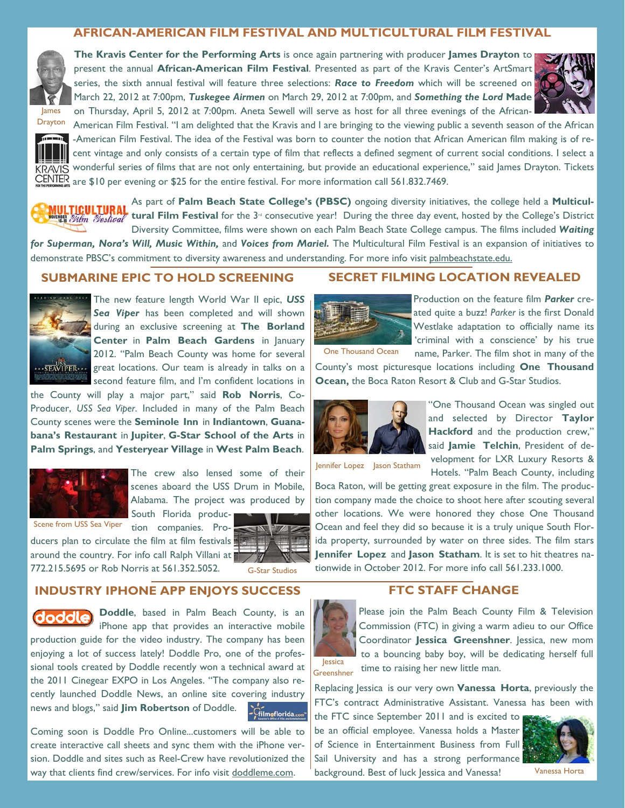### **AFRICAN-AMERICAN FILM FESTIVAL AND MULTICULTURAL FILM FESTIVAL**



**The Kravis Center for the Performing Arts** is once again partnering with producer **James Drayton** to present the annual **African-American Film Festival**. Presented as part of the Kravis Center's ArtSmart series, the sixth annual festival will feature three selections: *Race to Freedom* which will be screened on March 22, 2012 at 7:00pm, *Tuskegee Airmen* on March 29, 2012 at 7:00pm, and *Something the Lord* **Made**  on Thursday, April 5, 2012 at 7:00pm. Aneta Sewell will serve as host for all three evenings of the African-





Drayton

American Film Festival. "I am delighted that the Kravis and I are bringing to the viewing public a seventh season of the African -American Film Festival. The idea of the Festival was born to counter the notion that African American film making is of recent vintage and only consists of a certain type of film that reflects a defined segment of current social conditions. I select a KRAVIS wonderful series of films that are not only entertaining, but provide an educational experience," said James Drayton. Tickets CENTER are \$10 per evening or \$25 for the entire festival. For more information call 561.832.7469.

As part of **Palm Beach State College's (PBSC)** ongoing diversity initiatives, the college held a **Multiculthrough the Light of tural Film Festival** for the 3<sup>rd</sup> consecutive year! During the three day event, hosted by the College's District Diversity Committee, films were shown on each Palm Beach State College campus. The films included *Waiting* 

*for Superman, Nora's Will, Music Within,* and *Voices from Mariel.* The Multicultural Film Festival is an expansion of initiatives to demonstrate PBSC's commitment to diversity awareness and understanding. For more info visit palmbeachstate.edu.

### **SUBMARINE EPIC TO HOLD SCREENING**



The new feature length World War II epic, *USS Sea Viper* has been completed and will shown during an exclusive screening at **The Borland Center** in **Palm Beach Gardens** in January 2012. "Palm Beach County was home for several  $\overline{\text{GSE}}$  great locations. Our team is already in talks on a second feature film, and I'm confident locations in

the County will play a major part," said **Rob Norris**, Co-Producer, *USS Sea Viper*. Included in many of the Palm Beach County scenes were the **Seminole Inn** in **Indiantown**, **Guanabana's Restaurant** in **Jupiter**, **G-Star School of the Arts** in **Palm Springs**, and **Yesteryear Village** in **West Palm Beach**.



The crew also lensed some of their scenes aboard the USS Drum in Mobile, Alabama. The project was produced by

South Florida produc-

tion companies. Pro-Scene from USS Sea Viper



around the country. For info call Ralph Villani at  $\blacksquare$ 772.215.5695 or Rob Norris at 561.352.5052.

G-Star Studios

# **INDUSTRY IPHONE APP ENJOYS SUCCESS**

ducers plan to circulate the film at film festivals



**Doddle**, based in Palm Beach County, is an

iPhone app that provides an interactive mobile production guide for the video industry. The company has been enjoying a lot of success lately! Doddle Pro, one of the professional tools created by Doddle recently won a technical award at the 2011 Cinegear EXPO in Los Angeles. "The company also recently launched Doddle News, an online site covering industry news and blogs," said **Jim Robertson** of Doddle. -<br>Filmoflorida.com

Coming soon is Doddle Pro Online...customers will be able to create interactive call sheets and sync them with the iPhone version. Doddle and sites such as Reel-Crew have revolutionized the way that clients find crew/services. For info visit doddleme.com.

# **SECRET FILMING LOCATION REVEALED**



Production on the feature film *Parker* created quite a buzz! *Parker* is the first Donald Westlake adaptation to officially name its 'criminal with a conscience' by his true name, Parker. The film shot in many of the

One Thousand Ocean

County's most picturesque locations including **One Thousand Ocean,** the Boca Raton Resort & Club and G-Star Studios.



"One Thousand Ocean was singled out and selected by Director **Taylor Hackford** and the production crew," said **Jamie Telchin**, President of development for LXR Luxury Resorts & Hotels. "Palm Beach County, including

Boca Raton, will be getting great exposure in the film. The production company made the choice to shoot here after scouting several other locations. We were honored they chose One Thousand Ocean and feel they did so because it is a truly unique South Florida property, surrounded by water on three sides. The film stars **Jennifer Lopez** and **Jason Statham**. It is set to hit theatres nationwide in October 2012. For more info call 561.233.1000.

# **FTC STAFF CHANGE**



Please join the Palm Beach County Film & Television Commission (FTC) in giving a warm adieu to our Office Coordinator **Jessica Greenshner**. Jessica, new mom to a bouncing baby boy, will be dedicating herself full time to raising her new little man.

Replacing Jessica is our very own **Vanessa Horta**, previously the FTC's contract Administrative Assistant. Vanessa has been with

the FTC since September 2011 and is excited to be an official employee. Vanessa holds a Master of Science in Entertainment Business from Full Sail University and has a strong performance background. Best of luck Jessica and Vanessa! Vanessa Horta